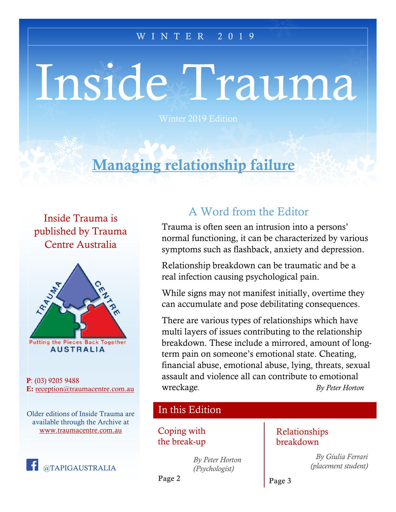#### $\overline{\text{W I N T E R}}$  2019

# Inside Trauma

Winter 2019 Edition

# Managing relationship failure

Inside Trauma is published by Trauma Centre Australia



P: (03) 9205 9488 E: [reception@traumacentre.com.au](mailto:reception@traumacentre.com.au)

Older editions of Inside Trauma are available through the Archive at [www.traumacentre.com.au](http://www.traumacentre.com.au/)



## A Word from the Editor

Trauma is often seen an intrusion into a persons' normal functioning, it can be characterized by various symptoms such as flashback, anxiety and depression.

Relationship breakdown can be traumatic and be a real infection causing psychological pain.

While signs may not manifest initially, overtime they can accumulate and pose debilitating consequences.

There are various types of relationships which have multi layers of issues contributing to the relationship breakdown. These include a mirrored, amount of longterm pain on someone's emotional state. Cheating, financial abuse, emotional abuse, lying, threats, sexual assault and violence all can contribute to emotional wreckage*. By Peter Horton*

#### In this Edition

Coping with the break-up

> *By Peter Horton (Psychologist)*

#### Relationships breakdown

*By Giulia Ferrari (placement student)*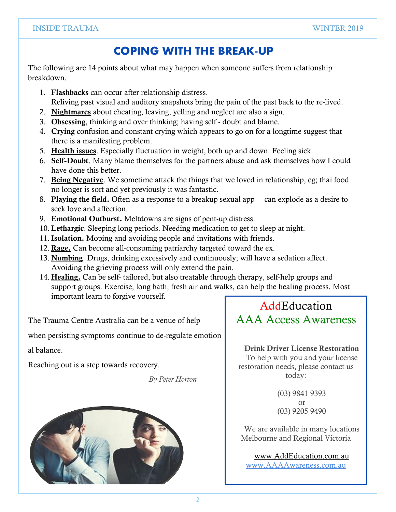### **COPING WITH THE BREAK-UP**

The following are 14 points about what may happen when someone suffers from relationship breakdown.

- 1. Flashbacks can occur after relationship distress. Reliving past visual and auditory snapshots bring the pain of the past back to the re-lived.
- 2. Nightmares about cheating, leaving, yelling and neglect are also a sign.
- 3. Obsessing, thinking and over thinking; having self doubt and blame.
- 4. Crying confusion and constant crying which appears to go on for a longtime suggest that there is a manifesting problem.
- 5. Health issues. Especially fluctuation in weight, both up and down. Feeling sick.
- 6. Self-Doubt. Many blame themselves for the partners abuse and ask themselves how I could have done this better.
- 7. Being Negative. We sometime attack the things that we loved in relationship, eg; thai food no longer is sort and yet previously it was fantastic.
- 8. Playing the field. Often as a response to a breakup sexual app can explode as a desire to seek love and affection.
- 9. Emotional Outburst. Meltdowns are signs of pent-up distress.
- 10. Lethargic. Sleeping long periods. Needing medication to get to sleep at night.
- 11. Isolation. Moping and avoiding people and invitations with friends.
- 12. Rage. Can become all-consuming patriarchy targeted toward the ex.
- 13. Numbing. Drugs, drinking excessively and continuously; will have a sedation affect. Avoiding the grieving process will only extend the pain.
- 14. Healing. Can be self- tailored, but also treatable through therapy, self-help groups and support groups. Exercise, long bath, fresh air and walks, can help the healing process. Most important learn to forgive yourself.

The Trauma Centre Australia can be a venue of help

when persisting symptoms continue to de-regulate emotion

al balance.

Reaching out is a step towards recovery.

*By Peter Horton*



AddEducation AAA Access Awareness

Drink Driver License Restoration To help with you and your license restoration needs, please contact us today:

> (03) 9841 9393 or (03) 9205 9490

We are available in many locations Melbourne and Regional Victoria

[www.AddEducation.com.au](http://www.addeducation.com.au/)

[www.AAAAwareness.com.au](http://www.aaaawareness.com.au/)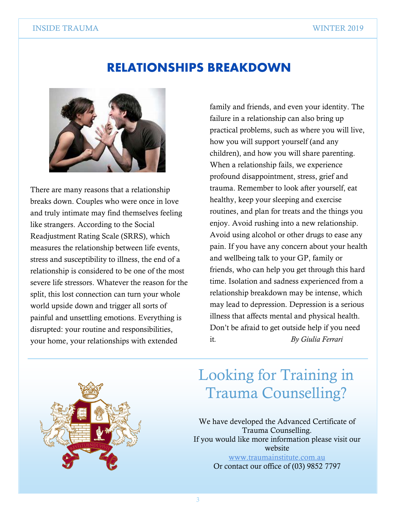## **RELATIONSHIPS BREAKDOWN**



There are many reasons that a relationship breaks down. Couples who were once in love and truly intimate may find themselves feeling like strangers. According to the Social Readjustment Rating Scale (SRRS), which measures the relationship between life events, stress and susceptibility to illness, the end of a relationship is considered to be one of the most severe life stressors. Whatever the reason for the split, this lost connection can turn your whole world upside down and trigger all sorts of painful and unsettling emotions. Everything is disrupted: your routine and responsibilities, your home, your relationships with extended

family and friends, and even your identity. The failure in a relationship can also bring up practical problems, such as where you will live, how you will support yourself (and any children), and how you will share parenting. When a relationship fails, we experience profound disappointment, stress, grief and trauma. Remember to look after yourself, eat healthy, keep your sleeping and exercise routines, and plan for treats and the things you enjoy. Avoid rushing into a new relationship. Avoid using alcohol or other drugs to ease any pain. If you have any concern about your health and wellbeing talk to your GP, family or friends, who can help you get through this hard time. Isolation and sadness experienced from a relationship breakdown may be intense, which may lead to depression. [Depression](https://www.betterhealth.vic.gov.au/conditionsandtreatment/depression) is a serious illness that affects mental and physical health. Don't be afraid to get outside help if you need it*. By Giulia Ferrari*



## Looking for Training in Trauma Counselling?

We have developed the Advanced Certificate of Trauma Counselling. If you would like more information please visit our website [www.traumainstitute.com.au](http://www.traumainstitute.com.au/) Or contact our office of (03) 9852 7797